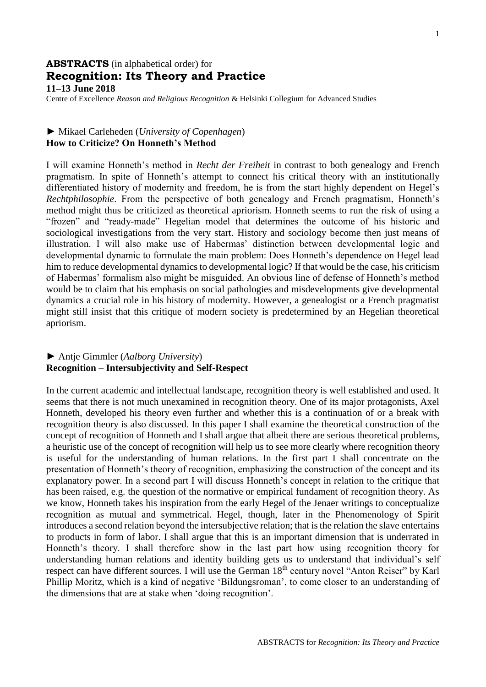# **ABSTRACTS** (in alphabetical order) for **Recognition: Its Theory and Practice 11–13 June 2018**

Centre of Excellence *Reason and Religious Recognition* & Helsinki Collegium for Advanced Studies

#### ► Mikael Carleheden (*University of Copenhagen*) **How to Criticize? On Honneth's Method**

I will examine Honneth's method in *Recht der Freiheit* in contrast to both genealogy and French pragmatism. In spite of Honneth's attempt to connect his critical theory with an institutionally differentiated history of modernity and freedom, he is from the start highly dependent on Hegel's *Rechtphilosophie*. From the perspective of both genealogy and French pragmatism, Honneth's method might thus be criticized as theoretical apriorism. Honneth seems to run the risk of using a "frozen" and "ready-made" Hegelian model that determines the outcome of his historic and sociological investigations from the very start. History and sociology become then just means of illustration. I will also make use of Habermas' distinction between developmental logic and developmental dynamic to formulate the main problem: Does Honneth's dependence on Hegel lead him to reduce developmental dynamics to developmental logic? If that would be the case, his criticism of Habermas' formalism also might be misguided. An obvious line of defense of Honneth's method would be to claim that his emphasis on social pathologies and misdevelopments give developmental dynamics a crucial role in his history of modernity. However, a genealogist or a French pragmatist might still insist that this critique of modern society is predetermined by an Hegelian theoretical apriorism.

#### ► Antje Gimmler (*Aalborg University*) **Recognition – Intersubjectivity and Self-Respect**

In the current academic and intellectual landscape, recognition theory is well established and used. It seems that there is not much unexamined in recognition theory. One of its major protagonists, Axel Honneth, developed his theory even further and whether this is a continuation of or a break with recognition theory is also discussed. In this paper I shall examine the theoretical construction of the concept of recognition of Honneth and I shall argue that albeit there are serious theoretical problems, a heuristic use of the concept of recognition will help us to see more clearly where recognition theory is useful for the understanding of human relations. In the first part I shall concentrate on the presentation of Honneth's theory of recognition, emphasizing the construction of the concept and its explanatory power. In a second part I will discuss Honneth's concept in relation to the critique that has been raised, e.g. the question of the normative or empirical fundament of recognition theory. As we know, Honneth takes his inspiration from the early Hegel of the Jenaer writings to conceptualize recognition as mutual and symmetrical. Hegel, though, later in the Phenomenology of Spirit introduces a second relation beyond the intersubjective relation; that is the relation the slave entertains to products in form of labor. I shall argue that this is an important dimension that is underrated in Honneth's theory. I shall therefore show in the last part how using recognition theory for understanding human relations and identity building gets us to understand that individual's self respect can have different sources. I will use the German 18<sup>th</sup> century novel "Anton Reiser" by Karl Phillip Moritz, which is a kind of negative 'Bildungsroman', to come closer to an understanding of the dimensions that are at stake when 'doing recognition'.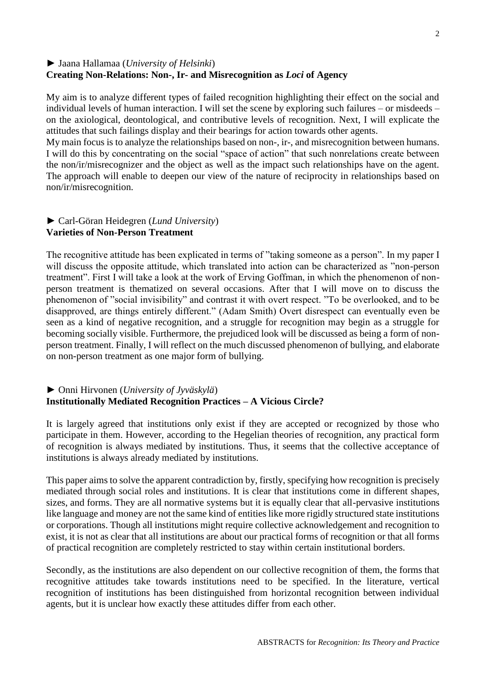## ► Jaana Hallamaa (*University of Helsinki*) **Creating Non-Relations: Non-, Ir- and Misrecognition as** *Loci* **of Agency**

My aim is to analyze different types of failed recognition highlighting their effect on the social and individual levels of human interaction. I will set the scene by exploring such failures – or misdeeds – on the axiological, deontological, and contributive levels of recognition. Next, I will explicate the attitudes that such failings display and their bearings for action towards other agents.

My main focus is to analyze the relationships based on non-, ir-, and misrecognition between humans. I will do this by concentrating on the social "space of action" that such nonrelations create between the non/ir/misrecognizer and the object as well as the impact such relationships have on the agent. The approach will enable to deepen our view of the nature of reciprocity in relationships based on non/ir/misrecognition.

### ► Carl-Göran Heidegren (*Lund University*) **Varieties of Non-Person Treatment**

The recognitive attitude has been explicated in terms of "taking someone as a person". In my paper I will discuss the opposite attitude, which translated into action can be characterized as "non-person treatment". First I will take a look at the work of Erving Goffman, in which the phenomenon of nonperson treatment is thematized on several occasions. After that I will move on to discuss the phenomenon of "social invisibility" and contrast it with overt respect. "To be overlooked, and to be disapproved, are things entirely different." (Adam Smith) Overt disrespect can eventually even be seen as a kind of negative recognition, and a struggle for recognition may begin as a struggle for becoming socially visible. Furthermore, the prejudiced look will be discussed as being a form of nonperson treatment. Finally, I will reflect on the much discussed phenomenon of bullying, and elaborate on non-person treatment as one major form of bullying.

## ► Onni Hirvonen (*University of Jyväskylä*) **Institutionally Mediated Recognition Practices – A Vicious Circle?**

It is largely agreed that institutions only exist if they are accepted or recognized by those who participate in them. However, according to the Hegelian theories of recognition, any practical form of recognition is always mediated by institutions. Thus, it seems that the collective acceptance of institutions is always already mediated by institutions.

This paper aims to solve the apparent contradiction by, firstly, specifying how recognition is precisely mediated through social roles and institutions. It is clear that institutions come in different shapes, sizes, and forms. They are all normative systems but it is equally clear that all-pervasive institutions like language and money are not the same kind of entities like more rigidly structured state institutions or corporations. Though all institutions might require collective acknowledgement and recognition to exist, it is not as clear that all institutions are about our practical forms of recognition or that all forms of practical recognition are completely restricted to stay within certain institutional borders.

Secondly, as the institutions are also dependent on our collective recognition of them, the forms that recognitive attitudes take towards institutions need to be specified. In the literature, vertical recognition of institutions has been distinguished from horizontal recognition between individual agents, but it is unclear how exactly these attitudes differ from each other.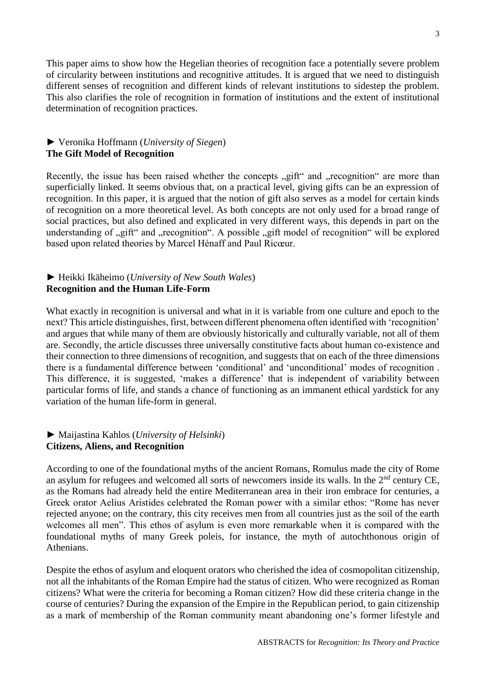This paper aims to show how the Hegelian theories of recognition face a potentially severe problem of circularity between institutions and recognitive attitudes. It is argued that we need to distinguish different senses of recognition and different kinds of relevant institutions to sidestep the problem. This also clarifies the role of recognition in formation of institutions and the extent of institutional determination of recognition practices.

### ► Veronika Hoffmann (*University of Siegen*) **The Gift Model of Recognition**

Recently, the issue has been raised whether the concepts "gift" and "recognition" are more than superficially linked. It seems obvious that, on a practical level, giving gifts can be an expression of recognition. In this paper, it is argued that the notion of gift also serves as a model for certain kinds of recognition on a more theoretical level. As both concepts are not only used for a broad range of social practices, but also defined and explicated in very different ways, this depends in part on the understanding of "gift" and "recognition". A possible "gift model of recognition" will be explored based upon related theories by Marcel Hénaff and Paul Ricœur.

### ► Heikki Ikäheimo (*University of New South Wales*) **Recognition and the Human Life-Form**

What exactly in recognition is universal and what in it is variable from one culture and epoch to the next? This article distinguishes, first, between different phenomena often identified with 'recognition' and argues that while many of them are obviously historically and culturally variable, not all of them are. Secondly, the article discusses three universally constitutive facts about human co-existence and their connection to three dimensions of recognition, and suggests that on each of the three dimensions there is a fundamental difference between 'conditional' and 'unconditional' modes of recognition . This difference, it is suggested, 'makes a difference' that is independent of variability between particular forms of life, and stands a chance of functioning as an immanent ethical yardstick for any variation of the human life-form in general.

## ► Maijastina Kahlos (*University of Helsinki*) **Citizens, Aliens, and Recognition**

According to one of the foundational myths of the ancient Romans, Romulus made the city of Rome an asylum for refugees and welcomed all sorts of newcomers inside its walls. In the 2<sup>nd</sup> century CE, as the Romans had already held the entire Mediterranean area in their iron embrace for centuries, a Greek orator Aelius Aristides celebrated the Roman power with a similar ethos: "Rome has never rejected anyone; on the contrary, this city receives men from all countries just as the soil of the earth welcomes all men". This ethos of asylum is even more remarkable when it is compared with the foundational myths of many Greek poleis, for instance, the myth of autochthonous origin of Athenians.

Despite the ethos of asylum and eloquent orators who cherished the idea of cosmopolitan citizenship, not all the inhabitants of the Roman Empire had the status of citizen. Who were recognized as Roman citizens? What were the criteria for becoming a Roman citizen? How did these criteria change in the course of centuries? During the expansion of the Empire in the Republican period, to gain citizenship as a mark of membership of the Roman community meant abandoning one's former lifestyle and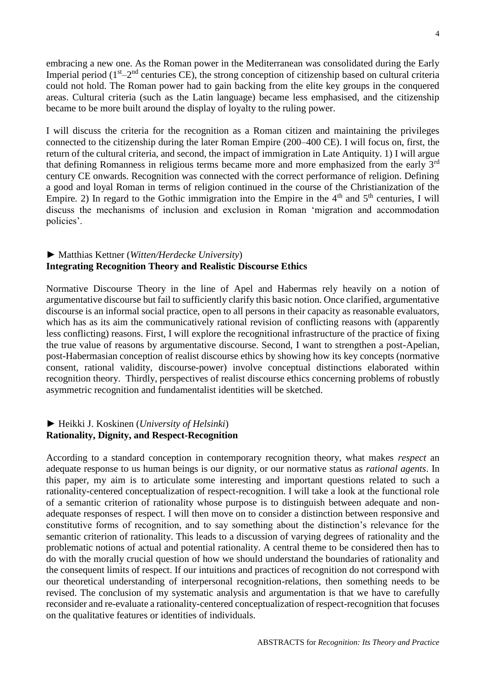embracing a new one. As the Roman power in the Mediterranean was consolidated during the Early Imperial period  $(1<sup>st</sup>-2<sup>nd</sup>$  centuries CE), the strong conception of citizenship based on cultural criteria could not hold. The Roman power had to gain backing from the elite key groups in the conquered areas. Cultural criteria (such as the Latin language) became less emphasised, and the citizenship became to be more built around the display of loyalty to the ruling power.

I will discuss the criteria for the recognition as a Roman citizen and maintaining the privileges connected to the citizenship during the later Roman Empire (200–400 CE). I will focus on, first, the return of the cultural criteria, and second, the impact of immigration in Late Antiquity. 1) I will argue that defining Romanness in religious terms became more and more emphasized from the early 3rd century CE onwards. Recognition was connected with the correct performance of religion. Defining a good and loyal Roman in terms of religion continued in the course of the Christianization of the Empire. 2) In regard to the Gothic immigration into the Empire in the  $4<sup>th</sup>$  and  $5<sup>th</sup>$  centuries, I will discuss the mechanisms of inclusion and exclusion in Roman 'migration and accommodation policies'.

## ► Matthias Kettner (*Witten/Herdecke University*) **Integrating Recognition Theory and Realistic Discourse Ethics**

Normative Discourse Theory in the line of Apel and Habermas rely heavily on a notion of argumentative discourse but fail to sufficiently clarify this basic notion. Once clarified, argumentative discourse is an informal social practice, open to all persons in their capacity as reasonable evaluators, which has as its aim the communicatively rational revision of conflicting reasons with (apparently less conflicting) reasons. First, I will explore the recognitional infrastructure of the practice of fixing the true value of reasons by argumentative discourse. Second, I want to strengthen a post-Apelian, post-Habermasian conception of realist discourse ethics by showing how its key concepts (normative consent, rational validity, discourse-power) involve conceptual distinctions elaborated within recognition theory. Thirdly, perspectives of realist discourse ethics concerning problems of robustly asymmetric recognition and fundamentalist identities will be sketched.

#### ► Heikki J. Koskinen (*University of Helsinki*) **Rationality, Dignity, and Respect-Recognition**

According to a standard conception in contemporary recognition theory, what makes *respect* an adequate response to us human beings is our dignity, or our normative status as *rational agents*. In this paper, my aim is to articulate some interesting and important questions related to such a rationality-centered conceptualization of respect-recognition. I will take a look at the functional role of a semantic criterion of rationality whose purpose is to distinguish between adequate and nonadequate responses of respect. I will then move on to consider a distinction between responsive and constitutive forms of recognition, and to say something about the distinction's relevance for the semantic criterion of rationality. This leads to a discussion of varying degrees of rationality and the problematic notions of actual and potential rationality. A central theme to be considered then has to do with the morally crucial question of how we should understand the boundaries of rationality and the consequent limits of respect. If our intuitions and practices of recognition do not correspond with our theoretical understanding of interpersonal recognition-relations, then something needs to be revised. The conclusion of my systematic analysis and argumentation is that we have to carefully reconsider and re-evaluate a rationality-centered conceptualization of respect-recognition that focuses on the qualitative features or identities of individuals.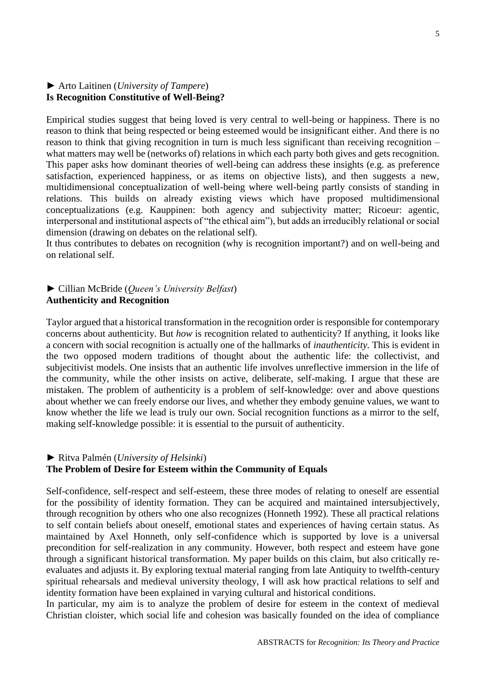#### ► Arto Laitinen (*University of Tampere*) **Is Recognition Constitutive of Well-Being?**

Empirical studies suggest that being loved is very central to well-being or happiness. There is no reason to think that being respected or being esteemed would be insignificant either. And there is no reason to think that giving recognition in turn is much less significant than receiving recognition – what matters may well be (networks of) relations in which each party both gives and gets recognition. This paper asks how dominant theories of well-being can address these insights (e.g. as preference satisfaction, experienced happiness, or as items on objective lists), and then suggests a new, multidimensional conceptualization of well-being where well-being partly consists of standing in relations. This builds on already existing views which have proposed multidimensional conceptualizations (e.g. Kauppinen: both agency and subjectivity matter; Ricoeur: agentic, interpersonal and institutional aspects of "the ethical aim"), but adds an irreducibly relational or social dimension (drawing on debates on the relational self).

It thus contributes to debates on recognition (why is recognition important?) and on well-being and on relational self.

#### ► Cillian McBride (*Queen's University Belfast*) **Authenticity and Recognition**

Taylor argued that a historical transformation in the recognition order is responsible for contemporary concerns about authenticity. But *how* is recognition related to authenticity? If anything, it looks like a concern with social recognition is actually one of the hallmarks of *inauthenticity.* This is evident in the two opposed modern traditions of thought about the authentic life: the collectivist, and subjecitivist models. One insists that an authentic life involves unreflective immersion in the life of the community, while the other insists on active, deliberate, self-making. I argue that these are mistaken. The problem of authenticity is a problem of self-knowledge: over and above questions about whether we can freely endorse our lives, and whether they embody genuine values, we want to know whether the life we lead is truly our own. Social recognition functions as a mirror to the self, making self-knowledge possible: it is essential to the pursuit of authenticity.

#### ► Ritva Palmén (*University of Helsinki*)

### **The Problem of Desire for Esteem within the Community of Equals**

Self-confidence, self-respect and self-esteem, these three modes of relating to oneself are essential for the possibility of identity formation. They can be acquired and maintained intersubjectively, through recognition by others who one also recognizes (Honneth 1992). These all practical relations to self contain beliefs about oneself, emotional states and experiences of having certain status. As maintained by Axel Honneth, only self-confidence which is supported by love is a universal precondition for self-realization in any community. However, both respect and esteem have gone through a significant historical transformation. My paper builds on this claim, but also critically reevaluates and adjusts it. By exploring textual material ranging from late Antiquity to twelfth-century spiritual rehearsals and medieval university theology, I will ask how practical relations to self and identity formation have been explained in varying cultural and historical conditions.

In particular, my aim is to analyze the problem of desire for esteem in the context of medieval Christian cloister, which social life and cohesion was basically founded on the idea of compliance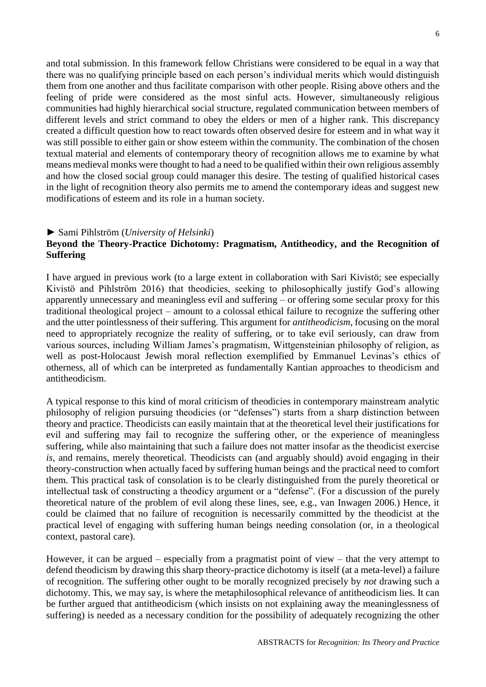and total submission. In this framework fellow Christians were considered to be equal in a way that there was no qualifying principle based on each person's individual merits which would distinguish them from one another and thus facilitate comparison with other people. Rising above others and the feeling of pride were considered as the most sinful acts. However, simultaneously religious communities had highly hierarchical social structure, regulated communication between members of different levels and strict command to obey the elders or men of a higher rank. This discrepancy created a difficult question how to react towards often observed desire for esteem and in what way it was still possible to either gain or show esteem within the community. The combination of the chosen textual material and elements of contemporary theory of recognition allows me to examine by what means medieval monks were thought to had a need to be qualified within their own religious assembly and how the closed social group could manager this desire. The testing of qualified historical cases in the light of recognition theory also permits me to amend the contemporary ideas and suggest new modifications of esteem and its role in a human society.

#### ► Sami Pihlström (*University of Helsinki*)

## **Beyond the Theory-Practice Dichotomy: Pragmatism, Antitheodicy, and the Recognition of Suffering**

I have argued in previous work (to a large extent in collaboration with Sari Kivistö; see especially Kivistö and Pihlström 2016) that theodicies, seeking to philosophically justify God's allowing apparently unnecessary and meaningless evil and suffering – or offering some secular proxy for this traditional theological project – amount to a colossal ethical failure to recognize the suffering other and the utter pointlessness of their suffering. This argument for *antitheodicism*, focusing on the moral need to appropriately recognize the reality of suffering, or to take evil seriously, can draw from various sources, including William James's pragmatism, Wittgensteinian philosophy of religion, as well as post-Holocaust Jewish moral reflection exemplified by Emmanuel Levinas's ethics of otherness, all of which can be interpreted as fundamentally Kantian approaches to theodicism and antitheodicism.

A typical response to this kind of moral criticism of theodicies in contemporary mainstream analytic philosophy of religion pursuing theodicies (or "defenses") starts from a sharp distinction between theory and practice. Theodicists can easily maintain that at the theoretical level their justifications for evil and suffering may fail to recognize the suffering other, or the experience of meaningless suffering, while also maintaining that such a failure does not matter insofar as the theodicist exercise *is*, and remains, merely theoretical. Theodicists can (and arguably should) avoid engaging in their theory-construction when actually faced by suffering human beings and the practical need to comfort them. This practical task of consolation is to be clearly distinguished from the purely theoretical or intellectual task of constructing a theodicy argument or a "defense". (For a discussion of the purely theoretical nature of the problem of evil along these lines, see, e.g., van Inwagen 2006.) Hence, it could be claimed that no failure of recognition is necessarily committed by the theodicist at the practical level of engaging with suffering human beings needing consolation (or, in a theological context, pastoral care).

However, it can be argued – especially from a pragmatist point of view – that the very attempt to defend theodicism by drawing this sharp theory-practice dichotomy is itself (at a meta-level) a failure of recognition. The suffering other ought to be morally recognized precisely by *not* drawing such a dichotomy. This, we may say, is where the metaphilosophical relevance of antitheodicism lies. It can be further argued that antitheodicism (which insists on not explaining away the meaninglessness of suffering) is needed as a necessary condition for the possibility of adequately recognizing the other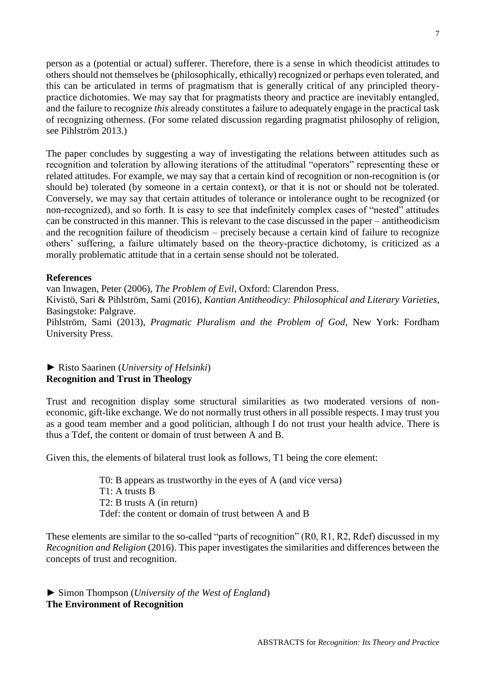person as a (potential or actual) sufferer. Therefore, there is a sense in which theodicist attitudes to others should not themselves be (philosophically, ethically) recognized or perhaps even tolerated, and this can be articulated in terms of pragmatism that is generally critical of any principled theorypractice dichotomies. We may say that for pragmatists theory and practice are inevitably entangled, and the failure to recognize *this* already constitutes a failure to adequately engage in the practical task of recognizing otherness. (For some related discussion regarding pragmatist philosophy of religion, see Pihlström 2013.)

The paper concludes by suggesting a way of investigating the relations between attitudes such as recognition and toleration by allowing iterations of the attitudinal "operators" representing these or related attitudes. For example, we may say that a certain kind of recognition or non-recognition is (or should be) tolerated (by someone in a certain context), or that it is not or should not be tolerated. Conversely, we may say that certain attitudes of tolerance or intolerance ought to be recognized (or non-recognized), and so forth. It is easy to see that indefinitely complex cases of "nested" attitudes can be constructed in this manner. This is relevant to the case discussed in the paper – antitheodicism and the recognition failure of theodicism – precisely because a certain kind of failure to recognize others' suffering, a failure ultimately based on the theory-practice dichotomy, is criticized as a morally problematic attitude that in a certain sense should not be tolerated.

#### **References**

van Inwagen, Peter (2006), *The Problem of Evil*, Oxford: Clarendon Press. Kivistö, Sari & Pihlström, Sami (2016), *Kantian Antitheodicy: Philosophical and Literary Varieties*, Basingstoke: Palgrave. Pihlström, Sami (2013), *Pragmatic Pluralism and the Problem of God*, New York: Fordham University Press.

## ► Risto Saarinen (*University of Helsinki*) **Recognition and Trust in Theology**

Trust and recognition display some structural similarities as two moderated versions of noneconomic, gift-like exchange. We do not normally trust others in all possible respects. I may trust you as a good team member and a good politician, although I do not trust your health advice. There is thus a Tdef, the content or domain of trust between A and B.

Given this, the elements of bilateral trust look as follows, T1 being the core element:

T0: B appears as trustworthy in the eyes of A (and vice versa) T1: A trusts B T2: B trusts A (in return) Tdef: the content or domain of trust between A and B

These elements are similar to the so-called "parts of recognition" (R0, R1, R2, Rdef) discussed in my *Recognition and Religion* (2016). This paper investigates the similarities and differences between the concepts of trust and recognition.

► Simon Thompson (*University of the West of England*) **The Environment of Recognition**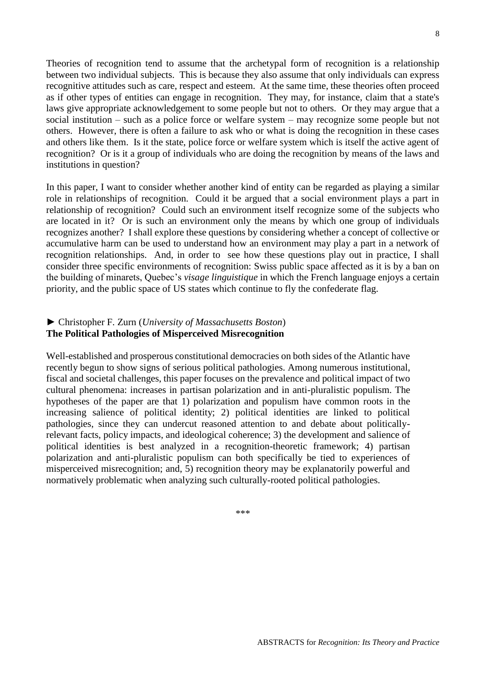ABSTRACTS for *Recognition: Its Theory and Practice*

Theories of recognition tend to assume that the archetypal form of recognition is a relationship between two individual subjects. This is because they also assume that only individuals can express recognitive attitudes such as care, respect and esteem. At the same time, these theories often proceed as if other types of entities can engage in recognition. They may, for instance, claim that a state's laws give appropriate acknowledgement to some people but not to others. Or they may argue that a social institution – such as a police force or welfare system – may recognize some people but not others. However, there is often a failure to ask who or what is doing the recognition in these cases and others like them. Is it the state, police force or welfare system which is itself the active agent of recognition? Or is it a group of individuals who are doing the recognition by means of the laws and institutions in question?

In this paper, I want to consider whether another kind of entity can be regarded as playing a similar role in relationships of recognition. Could it be argued that a social environment plays a part in relationship of recognition? Could such an environment itself recognize some of the subjects who are located in it? Or is such an environment only the means by which one group of individuals recognizes another? I shall explore these questions by considering whether a concept of collective or accumulative harm can be used to understand how an environment may play a part in a network of recognition relationships. And, in order to see how these questions play out in practice, I shall consider three specific environments of recognition: Swiss public space affected as it is by a ban on the building of minarets, Quebec's *visage linguistique* in which the French language enjoys a certain priority, and the public space of US states which continue to fly the confederate flag.

# ► Christopher F. Zurn (*University of Massachusetts Boston*) **The Political Pathologies of Misperceived Misrecognition**

Well-established and prosperous constitutional democracies on both sides of the Atlantic have recently begun to show signs of serious political pathologies. Among numerous institutional, fiscal and societal challenges, this paper focuses on the prevalence and political impact of two cultural phenomena: increases in partisan polarization and in anti-pluralistic populism. The hypotheses of the paper are that 1) polarization and populism have common roots in the increasing salience of political identity; 2) political identities are linked to political pathologies, since they can undercut reasoned attention to and debate about politicallyrelevant facts, policy impacts, and ideological coherence; 3) the development and salience of political identities is best analyzed in a recognition-theoretic framework; 4) partisan polarization and anti-pluralistic populism can both specifically be tied to experiences of misperceived misrecognition; and, 5) recognition theory may be explanatorily powerful and normatively problematic when analyzing such culturally-rooted political pathologies.

\*\*\*